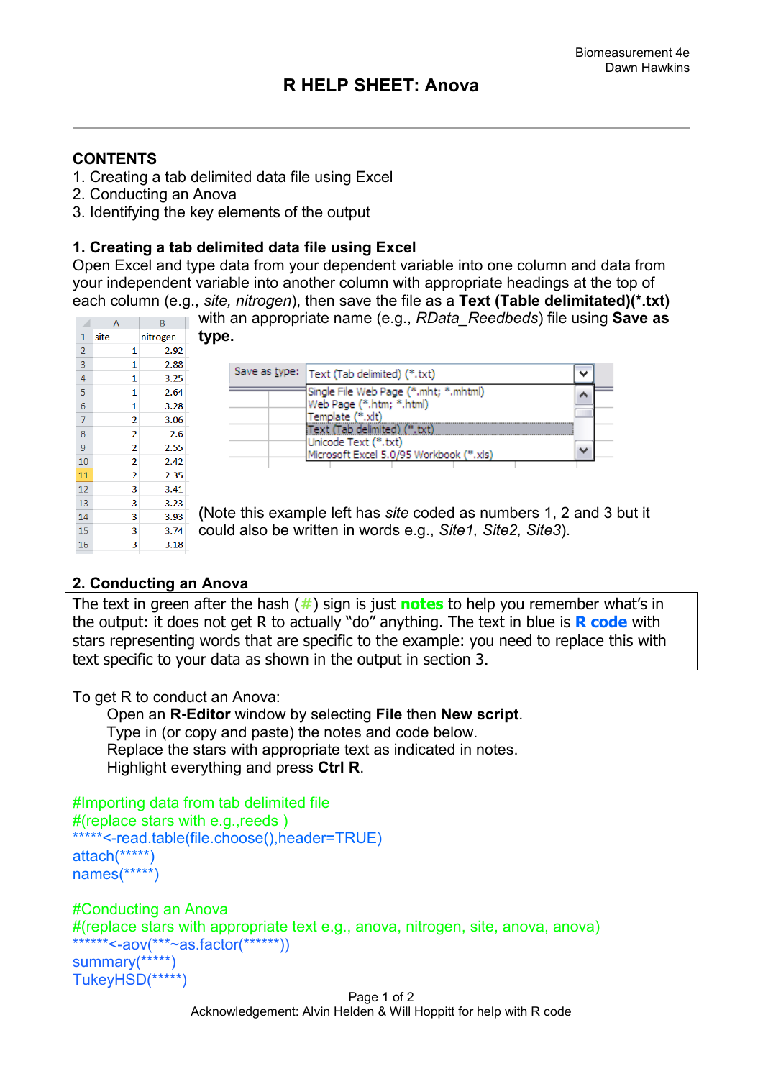## **CONTENTS**

- 1. Creating a tab delimited data file using Excel
- 2. Conducting an Anova
- 3. Identifying the key elements of the output

## **1. Creating a tab delimited data file using Excel**

Open Excel and type data from your dependent variable into one column and data from your independent variable into another column with appropriate headings at the top of each column (e.g., *site, nitrogen*), then save the file as a **Text (Table delimitated)(\*.txt)**

|    |      |          | with an appropriate name (e.g., RData_Reedbeds) file using Save as         |
|----|------|----------|----------------------------------------------------------------------------|
|    | А    | B        |                                                                            |
|    | site | nitrogen | type.                                                                      |
|    |      | 2.92     |                                                                            |
| 3  |      | 2.88     |                                                                            |
| 4  |      | 3.25     | Save as type:   Text (Tab delimited) (*.txt)<br>$\checkmark$               |
| 5  |      | 2.64     | Single File Web Page (*.mht; *.mhtml)<br>∽                                 |
| 6  |      | 3.28     | Web Page (*.htm; *.html)                                                   |
|    |      | 3.06     | Template (*.xlt)                                                           |
| 8  |      | 2.6      | [Text (Tab delimited) (*.txt)                                              |
| 9  |      | 2.55     | Unicode Text (*.txt)<br>Microsoft Excel 5.0/95 Workbook (*.xls)            |
| 10 |      | 2.42     |                                                                            |
|    |      | 2.35     |                                                                            |
| 12 |      | 3.41     |                                                                            |
| 13 |      | 3.23     | (Note this example left has <i>site</i> coded as numbers 1, 2 and 3 but it |
| 14 |      | 3.93     |                                                                            |
| 15 |      | 3.74     | could also be written in words e.g., Site1, Site2, Site3).                 |
| 16 |      | 3.18     |                                                                            |

## **2. Conducting an Anova**

The text in green after the hash (**#**) sign is just **notes** to help you remember what's in the output: it does not get R to actually "do" anything. The text in blue is **R code** with stars representing words that are specific to the example: you need to replace this with text specific to your data as shown in the output in section 3.

To get R to conduct an Anova:

 Open an **R-Editor** window by selecting **File** then **New script**. Type in (or copy and paste) the notes and code below. Replace the stars with appropriate text as indicated in notes. Highlight everything and press **Ctrl R**.

```
#Importing data from tab delimited file 
#(replace stars with e.g.,reeds )
*****<-read.table(file.choose(),header=TRUE)
attach(*****)
names(*****)
#Conducting an Anova
#(replace stars with appropriate text e.g., anova, nitrogen, site, anova, anova)
******<-aov(***~as.factor(******))
```

```
summary(*****)
TukeyHSD(*****)
```
Page 1 of 2 Acknowledgement: Alvin Helden & Will Hoppitt for help with R code